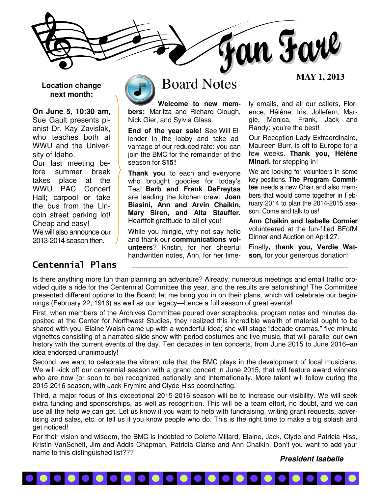

### **Location change next month:**

**On June 5, 10:30 am,** Sue Gault presents pianist Dr. Kay Zavislak, who teaches both at WWU and the University of Idaho.

Our last meeting before summer break takes place at the WWU PAC Concert Hall; carpool or take the bus from the Lincoln street parking lot! Cheap and easy! We will also announce our 2013-2014 season then.

## Centennial Plans



# **MAY 1, 2013** Board Notes

**Welcome to new members:** Maritza and Richard Clough, Nick Gier, and Sylvia Glass.

**End of the year sale!** See Will Ellender in the lobby and take advantage of our reduced rate: you can join the BMC for the remainder of the season for **\$15!**

**Thank you** to each and everyone who brought goodies for today's Tea! **Barb and Frank DeFreytas**  are leading the kitchen crew: **Joan Biasini, Ann and Arvin Chaikin, Mary Siren, and Alta Stauffer.** Heartfelt gratitude to all of you!

While you mingle, why not say hello and thank our **communications volunteers**? Kristin, for her cheerful handwritten notes, Ann, for her time-

ly emails, and all our callers, Florence, Hélène, Iris, Jollefern, Margie, Monica, Frank, Jack and Randy: you're the best!

Our Reception Lady Extraordinaire, Maureen Burr, is off to Europe for a few weeks. **Thank you, Hélène Minari,** for stepping in!

We are looking for volunteers in some key positions. **The Program Committee** needs a new Chair and also members that would come together in February 2014 to plan the 2014-2015 season. Come and talk to us!

**Ann Chaikin and Isabelle Cormier**  volunteered at the fun-filled BFofM Dinner and Auction on April 27.

Finally**, thank you, Verdie Watson,** for your generous donation!

Is there anything more fun than planning an adventure? Already, numerous meetings and email traffic provided quite a ride for the Centennial Committee this year, and the results are astonishing! The Committee presented different options to the Board; let me bring you in on their plans, which will celebrate our beginnings (February 22, 1916) as well as our legacy—hence a full season of great events!

First, when members of the Archives Committee poured over scrapbooks, program notes and minutes deposited at the Center for Northwest Studies, they realized this incredible wealth of material ought to be shared with you. Elaine Walsh came up with a wonderful idea; she will stage "decade dramas," five minute vignettes consisting of a narrated slide show with period costumes and live music, that will parallel our own history with the current events of the day. Ten decades in ten concerts, from June 2015 to June 2016–an idea endorsed unanimously!

Second, we want to celebrate the vibrant role that the BMC plays in the development of local musicians. We will kick off our centennial season with a grand concert in June 2015, that will feature award winners who are now (or soon to be) recognized nationally and internationally. More talent will follow during the 2015-2016 season, with Jack Frymire and Clyde Hiss coordinating.

Third, a major focus of this exceptional 2015-2016 season will be to increase our visibility. We will seek extra funding and sponsorships, as well as recognition. This will be a team effort, no doubt, and we can use all the help we can get. Let us know if you want to help with fundraising, writing grant requests, advertising and sales, etc. or tell us if you know people who do. This is the right time to make a big splash and get noticed!

For their vision and wisdom, the BMC is indebted to Colette Millard, Elaine, Jack, Clyde and Patricia Hiss, Kristin VanSchelt, Jim and Addis Chapman, Patricia Clarke and Ann Chaikin. Don't you want to add your name to this distinguished list???

#### **President Isabelle**

#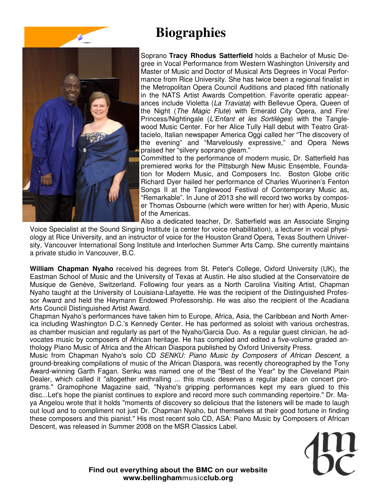# **Biographies**



Soprano **Tracy Rhodus Satterfield** holds a Bachelor of Music Degree in Vocal Performance from Western Washington University and Master of Music and Doctor of Musical Arts Degrees in Vocal Performance from Rice University. She has twice been a regional finalist in the Metropolitan Opera Council Auditions and placed fifth nationally in the NATS Artist Awards Competition. Favorite operatic appearances include Violetta (La Traviata) with Bellevue Opera, Queen of the Night (The Magic Flute) with Emerald City Opera, and Fire/ Princess/Nightingale (L'Enfant et les Sortilèges) with the Tanglewood Music Center. For her Alice Tully Hall debut with Teatro Grattacielo, Italian newspaper America Oggi called her "The discovery of the evening" and "Marvelously expressive," and Opera News praised her "silvery soprano gleam."

Committed to the performance of modern music, Dr. Satterfield has premiered works for the Pittsburgh New Music Ensemble, Foundation for Modern Music, and Composers Inc. Boston Globe critic Richard Dyer hailed her performance of Charles Wuorinen's Fenton Songs II at the Tanglewood Festival of Contemporary Music as, "Remarkable". In June of 2013 she will record two works by composer Thomas Osbourne (which were written for her) with Aperio, Music of the Americas.

Also a dedicated teacher, Dr. Satterfield was an Associate Singing

Voice Specialist at the Sound Singing Institute (a center for voice rehabilitation), a lecturer in vocal physiology at Rice University, and an instructor of voice for the Houston Grand Opera, Texas Southern University, Vancouver International Song Institute and Interlochen Summer Arts Camp. She currently maintains a private studio in Vancouver, B.C.

**William Chapman Nyaho** received his degrees from St. Peter's College, Oxford University (UK), the Eastman School of Music and the University of Texas at Austin. He also studied at the Conservatoire de Musique de Genève, Switzerland. Following four years as a North Carolina Visiting Artist, Chapman Nyaho taught at the University of Louisiana-Lafayette. He was the recipient of the Distinguished Professor Award and held the Heymann Endowed Professorship. He was also the recipient of the Acadiana Arts Council Distinguished Artist Award.

Chapman Nyaho's performances have taken him to Europe, Africa, Asia, the Caribbean and North America including Washington D.C.'s Kennedy Center. He has performed as soloist with various orchestras, as chamber musician and regularly as part of the Nyaho/Garcia Duo. As a regular guest clinician, he advocates music by composers of African heritage. He has compiled and edited a five-volume graded anthology Piano Music of Africa and the African Diaspora published by Oxford University Press.

Music from Chapman Nyaho's solo CD SENKU: Piano Music by Composers of African Descent, a ground-breaking compilations of music of the African Diaspora, was recently choreographed by the Tony Award-winning Garth Fagan. Senku was named one of the "Best of the Year" by the Cleveland Plain Dealer, which called it "altogether enthralling ... this music deserves a regular place on concert programs." Gramophone Magazine said, "Nyaho's gripping performances kept my ears glued to this disc...Let's hope the pianist continues to explore and record more such commanding repertoire." Dr. Maya Angelou wrote that it holds "moments of discovery so delicious that the listeners will be made to laugh out loud and to compliment not just Dr. Chapman Nyaho, but themselves at their good fortune in finding these composers and this pianist." His most recent solo CD, ASA: Piano Music by Composers of African Descent, was released in Summer 2008 on the MSR Classics Label.

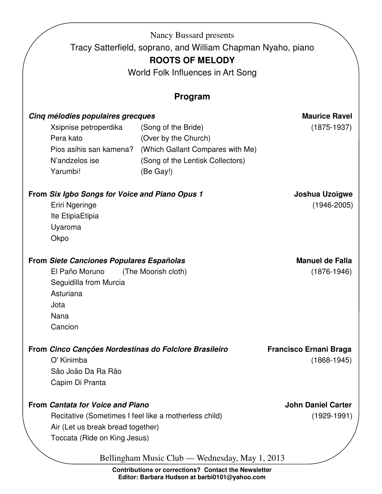|                                                                                                              |                                                                                                                                                                       | Tracy Satterfield, soprano, and William Chapman Nyaho, piano<br><b>ROOTS OF MELODY</b><br>World Folk Influences in Art Song<br><b>Program</b> |                                                  |
|--------------------------------------------------------------------------------------------------------------|-----------------------------------------------------------------------------------------------------------------------------------------------------------------------|-----------------------------------------------------------------------------------------------------------------------------------------------|--------------------------------------------------|
|                                                                                                              | Cinq mélodies populaires grecques<br>Xsipnise petroperdika<br>Pera kato<br>Pios asihis san kamena?<br>N'andzelos ise<br>Yarumbi!                                      | (Song of the Bride)<br>(Over by the Church)<br>(Which Gallant Compares with Me)<br>(Song of the Lentisk Collectors)<br>(Be Gay!)              | <b>Maurice Ravel</b><br>$(1875-1937)$            |
|                                                                                                              | From Six Igbo Songs for Voice and Piano Opus 1<br>Eriri Ngeringe<br>Ite EtipiaEtipia<br>Uyaroma<br>Okpo                                                               |                                                                                                                                               | Joshua Uzoigwe<br>$(1946 - 2005)$                |
|                                                                                                              | <b>From Siete Canciones Populares Españolas</b><br>El Paño Moruno<br>Seguidilla from Murcia<br>Asturiana<br>Jota<br>Nana<br>Cancion                                   | (The Moorish cloth)                                                                                                                           | <b>Manuel de Falla</b><br>$(1876 - 1946)$        |
| From Cinco Canções Nordestinas do Folclore Brasileiro<br>O' Kinimba<br>São João Da Ra Rão<br>Capim Di Pranta |                                                                                                                                                                       |                                                                                                                                               | <b>Francisco Ernani Braga</b><br>$(1868 - 1945)$ |
|                                                                                                              | <b>From Cantata for Voice and Piano</b><br>Recitative (Sometimes I feel like a motherless child)<br>Air (Let us break bread together)<br>Toccata (Ride on King Jesus) | Bellingham Music Club — Wednesday, May 1, 2013                                                                                                | <b>John Daniel Carter</b><br>$(1929-1991)$       |

**Contributions or corrections? Contact the Newsletter Editor: Barbara Hudson at barbi0101@yahoo.com**